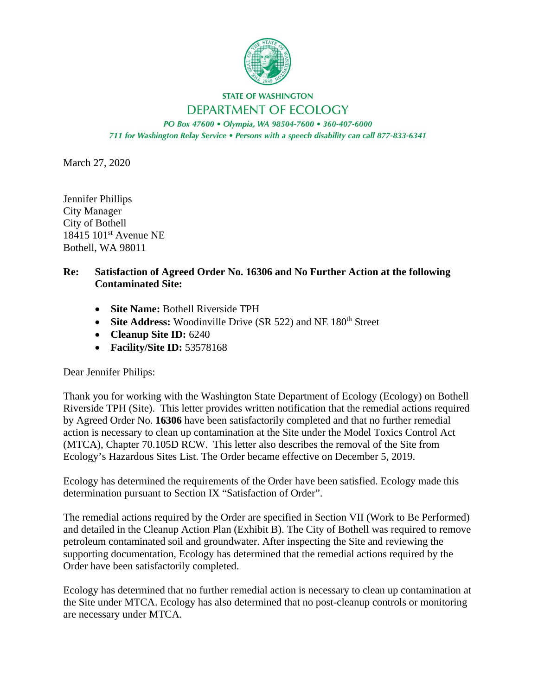

## **STATE OF WASHINGTON** DEPARTMENT OF ECOLOGY

PO Box 47600 · Olympia, WA 98504-7600 · 360-407-6000 711 for Washington Relay Service . Persons with a speech disability can call 877-833-6341

March 27, 2020

Jennifer Phillips City Manager City of Bothell 18415 101<sup>st</sup> Avenue NE Bothell, WA 98011

## **Re: Satisfaction of Agreed Order No. 16306 and No Further Action at the following Contaminated Site:**

- **Site Name:** Bothell Riverside TPH
- Site Address: Woodinville Drive (SR 522) and NE 180<sup>th</sup> Street
- **Cleanup Site ID:** 6240
- **Facility/Site ID:** 53578168

Dear Jennifer Philips:

Thank you for working with the Washington State Department of Ecology (Ecology) on Bothell Riverside TPH (Site). This letter provides written notification that the remedial actions required by Agreed Order No. **16306** have been satisfactorily completed and that no further remedial action is necessary to clean up contamination at the Site under the Model Toxics Control Act (MTCA), Chapter 70.105D RCW. This letter also describes the removal of the Site from Ecology's Hazardous Sites List. The Order became effective on December 5, 2019.

Ecology has determined the requirements of the Order have been satisfied. Ecology made this determination pursuant to Section IX "Satisfaction of Order".

The remedial actions required by the Order are specified in Section VII (Work to Be Performed) and detailed in the Cleanup Action Plan (Exhibit B). The City of Bothell was required to remove petroleum contaminated soil and groundwater. After inspecting the Site and reviewing the supporting documentation, Ecology has determined that the remedial actions required by the Order have been satisfactorily completed.

Ecology has determined that no further remedial action is necessary to clean up contamination at the Site under MTCA. Ecology has also determined that no post-cleanup controls or monitoring are necessary under MTCA.